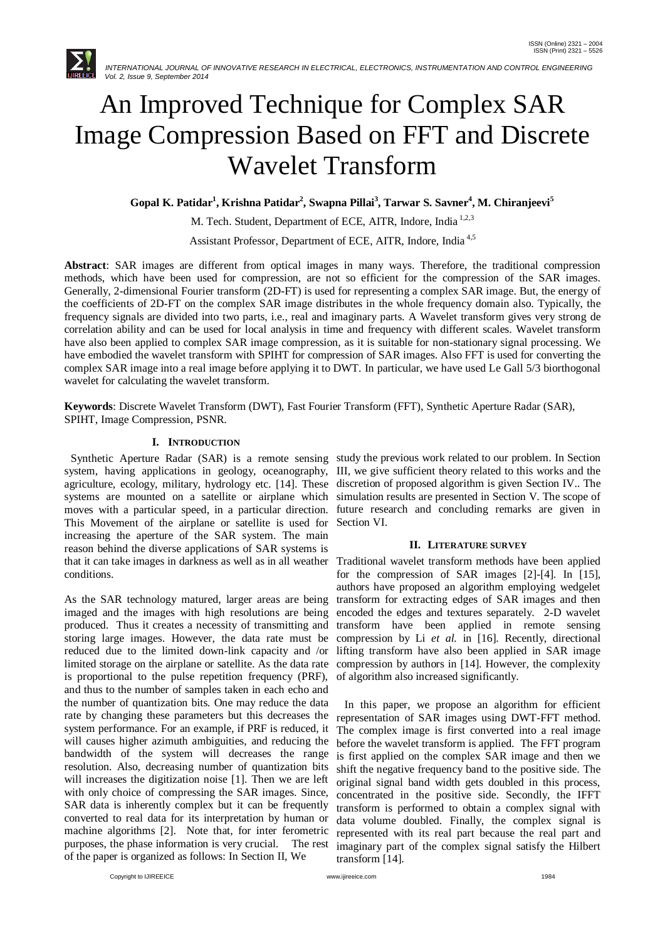

# An Improved Technique for Complex SAR Image Compression Based on FFT and Discrete Wavelet Transform

**Gopal K. Patidar<sup>1</sup> , Krishna Patidar<sup>2</sup> , Swapna Pillai 3 , Tarwar S. Savner<sup>4</sup> , M. Chiranjeevi<sup>5</sup>**

M. Tech. Student, Department of ECE, AITR, Indore, India<sup>1,2,3</sup>

Assistant Professor, Department of ECE, AITR, Indore, India 4,5

**Abstract**: SAR images are different from optical images in many ways. Therefore, the traditional compression methods, which have been used for compression, are not so efficient for the compression of the SAR images. Generally, 2-dimensional Fourier transform (2D-FT) is used for representing a complex SAR image. But, the energy of the coefficients of 2D-FT on the complex SAR image distributes in the whole frequency domain also. Typically, the frequency signals are divided into two parts, i.e., real and imaginary parts. A Wavelet transform gives very strong de correlation ability and can be used for local analysis in time and frequency with different scales. Wavelet transform have also been applied to complex SAR image compression, as it is suitable for non-stationary signal processing. We have embodied the wavelet transform with SPIHT for compression of SAR images. Also FFT is used for converting the complex SAR image into a real image before applying it to DWT. In particular, we have used Le Gall 5/3 biorthogonal wavelet for calculating the wavelet transform.

**Keywords**: Discrete Wavelet Transform (DWT), Fast Fourier Transform (FFT), Synthetic Aperture Radar (SAR), SPIHT, Image Compression, PSNR.

# **I. INTRODUCTION**

system, having applications in geology, oceanography, III, we give sufficient theory related to this works and the agriculture, ecology, military, hydrology etc. [14]. These discretion of proposed algorithm is given Section IV.. The systems are mounted on a satellite or airplane which simulation results are presented in Section V. The scope of moves with a particular speed, in a particular direction. This Movement of the airplane or satellite is used for increasing the aperture of the SAR system. The main reason behind the diverse applications of SAR systems is that it can take images in darkness as well as in all weather conditions.

As the SAR technology matured, larger areas are being imaged and the images with high resolutions are being produced. Thus it creates a necessity of transmitting and storing large images. However, the data rate must be reduced due to the limited down-link capacity and /or limited storage on the airplane or satellite. As the data rate is proportional to the pulse repetition frequency (PRF), and thus to the number of samples taken in each echo and the number of quantization bits. One may reduce the data rate by changing these parameters but this decreases the system performance. For an example, if PRF is reduced, it will causes higher azimuth ambiguities, and reducing the bandwidth of the system will decreases the range resolution. Also, decreasing number of quantization bits will increases the digitization noise [1]. Then we are left with only choice of compressing the SAR images. Since, SAR data is inherently complex but it can be frequently converted to real data for its interpretation by human or machine algorithms [2]. Note that, for inter ferometric purposes, the phase information is very crucial. The rest of the paper is organized as follows: In Section II, We

 Synthetic Aperture Radar (SAR) is a remote sensing study the previous work related to our problem. In Section future research and concluding remarks are given in Section VI.

# **II. LITERATURE SURVEY**

Traditional wavelet transform methods have been applied for the compression of SAR images [2]-[4]. In [15], authors have proposed an algorithm employing wedgelet transform for extracting edges of SAR images and then encoded the edges and textures separately. 2-D wavelet transform have been applied in remote sensing compression by Li *et al.* in [16]. Recently, directional lifting transform have also been applied in SAR image compression by authors in [14]. However, the complexity of algorithm also increased significantly.

 In this paper, we propose an algorithm for efficient representation of SAR images using DWT-FFT method. The complex image is first converted into a real image before the wavelet transform is applied. The FFT program is first applied on the complex SAR image and then we shift the negative frequency band to the positive side. The original signal band width gets doubled in this process, concentrated in the positive side. Secondly, the IFFT transform is performed to obtain a complex signal with data volume doubled. Finally, the complex signal is represented with its real part because the real part and imaginary part of the complex signal satisfy the Hilbert transform [14].

Copyright to IJIREEICE [www.ijireeice.com](http://www.ijireeice.com/) 1984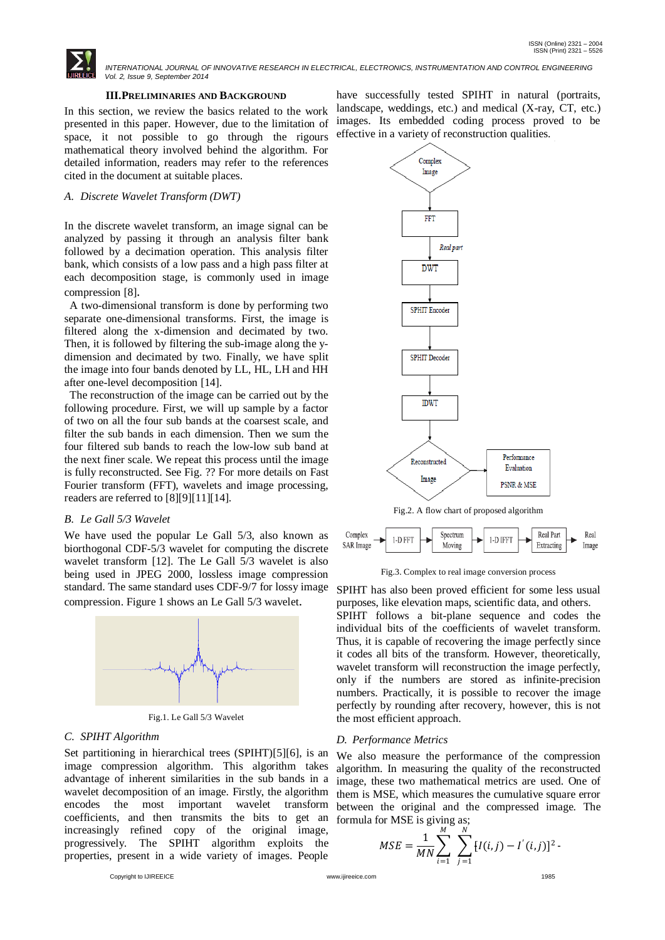

## **III.PRELIMINARIES AND BACKGROUND**

In this section, we review the basics related to the work presented in this paper. However, due to the limitation of space, it not possible to go through the rigours mathematical theory involved behind the algorithm. For detailed information, readers may refer to the references cited in the document at suitable places.

## *A. Discrete Wavelet Transform (DWT)*

In the discrete wavelet transform, an image signal can be analyzed by passing it through an analysis filter bank followed by a decimation operation. This analysis filter bank, which consists of a low pass and a high pass filter at each decomposition stage, is commonly used in image compression [8].

 A two-dimensional transform is done by performing two separate one-dimensional transforms. First, the image is filtered along the x-dimension and decimated by two. Then, it is followed by filtering the sub-image along the ydimension and decimated by two. Finally, we have split the image into four bands denoted by LL, HL, LH and HH after one-level decomposition [14].

 The reconstruction of the image can be carried out by the following procedure. First, we will up sample by a factor of two on all the four sub bands at the coarsest scale, and filter the sub bands in each dimension. Then we sum the four filtered sub bands to reach the low-low sub band at the next finer scale. We repeat this process until the image is fully reconstructed. See Fig. ?? For more details on Fast Fourier transform (FFT), wavelets and image processing, readers are referred to [8][9][11][14].

## *B. Le Gall 5/3 Wavelet*

We have used the popular Le Gall 5/3, also known as biorthogonal CDF-5/3 wavelet for computing the discrete wavelet transform [12]. The Le Gall 5/3 wavelet is also being used in JPEG 2000, lossless image compression standard. The same standard uses CDF-9/7 for lossy image compression. Figure 1 shows an Le Gall 5/3 wavelet.



Fig.1. Le Gall 5/3 Wavelet

#### *C. SPIHT Algorithm*

Set partitioning in hierarchical trees (SPIHT)[5][6], is an image compression algorithm. This algorithm takes advantage of inherent similarities in the sub bands in a wavelet decomposition of an image. Firstly, the algorithm encodes the most important wavelet transform coefficients, and then transmits the bits to get an increasingly refined copy of the original image, progressively. The SPIHT algorithm exploits the properties, present in a wide variety of images. People

Copyright to IJIREEICE [www.ijireeice.com](http://www.ijireeice.com/) 1985

have successfully tested SPIHT in natural (portraits, landscape, weddings, etc.) and medical (X-ray, CT, etc.) images. Its embedded coding process proved to be effective in a variety of reconstruction qualities.



Fig.3. Complex to real image conversion process

SPIHT has also been proved efficient for some less usual purposes, like elevation maps, scientific data, and others. SPIHT follows a bit-plane sequence and codes the individual bits of the coefficients of wavelet transform. Thus, it is capable of recovering the image perfectly since it codes all bits of the transform. However, theoretically, wavelet transform will reconstruction the image perfectly, only if the numbers are stored as infinite-precision numbers. Practically, it is possible to recover the image perfectly by rounding after recovery, however, this is not the most efficient approach.

#### *D. Performance Metrics*

We also measure the performance of the compression algorithm. In measuring the quality of the reconstructed image, these two mathematical metrics are used. One of them is MSE, which measures the cumulative square error between the original and the compressed image. The formula for MSE is giving as;

$$
MSE = \frac{1}{MN} \sum_{i=1}^{M} \sum_{j=1}^{N} [I(i,j) - I'(i,j)]^{2}
$$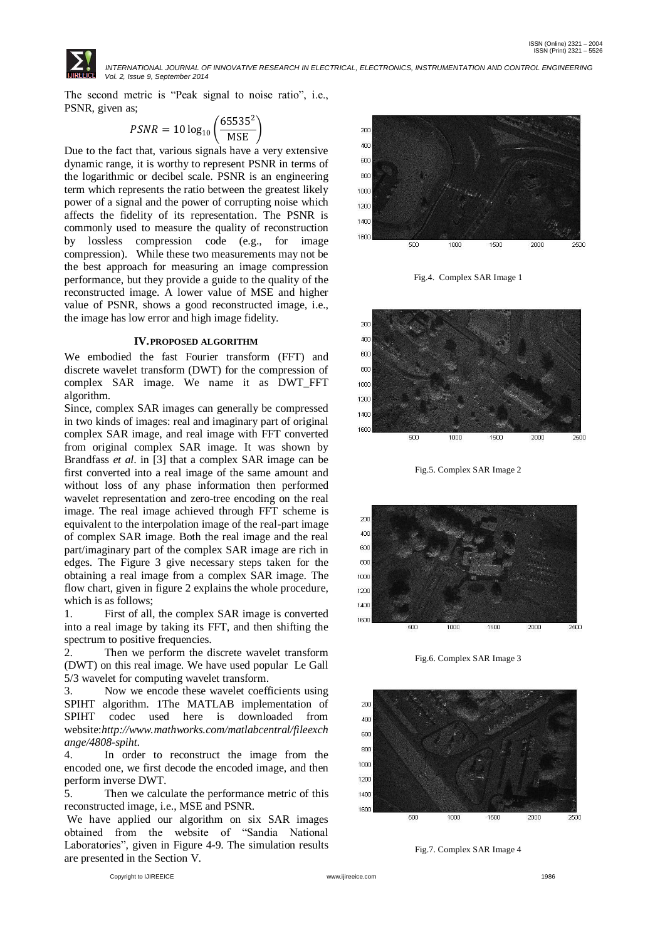

The second metric is "Peak signal to noise ratio", i.e., PSNR, given as;

$$
PSNR = 10 \log_{10} \left( \frac{65535^2}{MSE} \right)
$$

Due to the fact that, various signals have a very extensive dynamic range, it is worthy to represent PSNR in terms of the logarithmic or decibel scale. PSNR is an engineering term which represents the ratio between the greatest likely power of a signal and the power of corrupting noise which affects the fidelity of its representation. The PSNR is commonly used to measure the quality of reconstruction by lossless compression code (e.g., for image compression). While these two measurements may not be the best approach for measuring an image compression performance, but they provide a guide to the quality of the reconstructed image. A lower value of MSE and higher value of PSNR, shows a good reconstructed image, i.e., the image has low error and high image fidelity.

## **IV.PROPOSED ALGORITHM**

We embodied the fast Fourier transform (FFT) and discrete wavelet transform (DWT) for the compression of complex SAR image. We name it as DWT\_FFT algorithm.

Since, complex SAR images can generally be compressed in two kinds of images: real and imaginary part of original complex SAR image, and real image with FFT converted from original complex SAR image. It was shown by Brandfass *et al*. in [3] that a complex SAR image can be first converted into a real image of the same amount and without loss of any phase information then performed wavelet representation and zero-tree encoding on the real image. The real image achieved through FFT scheme is equivalent to the interpolation image of the real-part image of complex SAR image. Both the real image and the real part/imaginary part of the complex SAR image are rich in edges. The Figure 3 give necessary steps taken for the obtaining a real image from a complex SAR image. The flow chart, given in figure 2 explains the whole procedure, which is as follows;

1. First of all, the complex SAR image is converted into a real image by taking its FFT, and then shifting the spectrum to positive frequencies.

2. Then we perform the discrete wavelet transform (DWT) on this real image. We have used popular Le Gall 5/3 wavelet for computing wavelet transform.

3. Now we encode these wavelet coefficients using SPIHT algorithm. 1The MATLAB implementation of SPIHT codec used here is downloaded from website:*http://www.mathworks.com/matlabcentral/fileexch ange/4808-spiht*.

4. In order to reconstruct the image from the encoded one, we first decode the encoded image, and then perform inverse DWT.

5. Then we calculate the performance metric of this reconstructed image, i.e., MSE and PSNR.

We have applied our algorithm on six SAR images obtained from the website of "Sandia National Laboratories", given in Figure 4-9. The simulation results are presented in the Section V.



Fig.4. Complex SAR Image 1



Fig.5. Complex SAR Image 2



Fig.6. Complex SAR Image 3



Fig.7. Complex SAR Image 4

Copyright to IJIREEICE [www.ijireeice.com](http://www.ijireeice.com/) 1986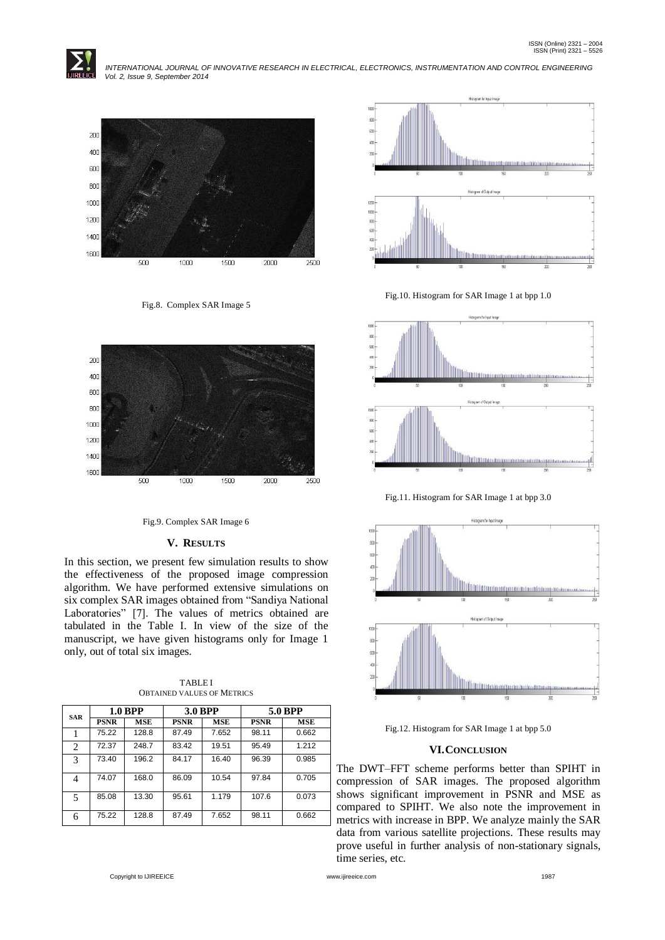



Fig.8. Complex SAR Image 5



Fig.9. Complex SAR Image 6

# **V. RESULTS**

In this section, we present few simulation results to show the effectiveness of the proposed image compression algorithm. We have performed extensive simulations on six complex SAR images obtained from "Sandiya National Laboratories" [7]. The values of metrics obtained are tabulated in the Table I. In view of the size of the manuscript, we have given histograms only for Image 1 only, out of total six images.

| <b>SAR</b>    | 1.0 BPP     |            | <b>3.0 BPP</b> |            | 5.0 BPP     |       |
|---------------|-------------|------------|----------------|------------|-------------|-------|
|               | <b>PSNR</b> | <b>MSE</b> | <b>PSNR</b>    | <b>MSE</b> | <b>PSNR</b> | MSE   |
|               | 75.22       | 128.8      | 87.49          | 7.652      | 98.11       | 0.662 |
| 2             | 72.37       | 248.7      | 83.42          | 19.51      | 95.49       | 1.212 |
| $\mathcal{R}$ | 73.40       | 196.2      | 84.17          | 16.40      | 96.39       | 0.985 |
| 4             | 74.07       | 168.0      | 86.09          | 10.54      | 97.84       | 0.705 |
| 5             | 85.08       | 13.30      | 95.61          | 1.179      | 107.6       | 0.073 |
| 6             | 75.22       | 128.8      | 87.49          | 7.652      | 98.11       | 0.662 |

TABLE I OBTAINED VALUES OF METRICS



Fig.10. Histogram for SAR Image 1 at bpp 1.0



Fig.11. Histogram for SAR Image 1 at bpp 3.0



Fig.12. Histogram for SAR Image 1 at bpp 5.0

# **VI.CONCLUSION**

The DWT–FFT scheme performs better than SPIHT in compression of SAR images. The proposed algorithm shows significant improvement in PSNR and MSE as compared to SPIHT. We also note the improvement in metrics with increase in BPP. We analyze mainly the SAR data from various satellite projections. These results may prove useful in further analysis of non-stationary signals, time series, etc.

Copyright to IJIREEICE [www.ijireeice.com](http://www.ijireeice.com/) 1987